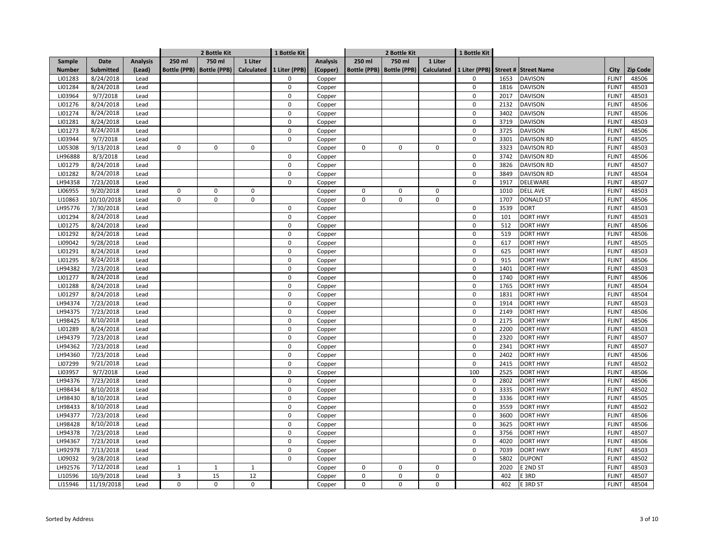|               |            |                 |              | 2 Bottle Kit                |                   | 1 Bottle Kit  |                 | 2 Bottle Kit        |                     |                   | 1 Bottle Kit  |      |                      |              |          |
|---------------|------------|-----------------|--------------|-----------------------------|-------------------|---------------|-----------------|---------------------|---------------------|-------------------|---------------|------|----------------------|--------------|----------|
| Sample        | Date       | <b>Analysis</b> | 250 ml       | 750 ml                      | 1 Liter           |               | <b>Analysis</b> | 250 ml              | 750 ml              | 1 Liter           |               |      |                      |              |          |
| <b>Number</b> | Submitted  | (Lead)          |              | Bottle (PPB)   Bottle (PPB) | <b>Calculated</b> | 1 Liter (PPB) | (Copper)        | <b>Bottle (PPB)</b> | <b>Bottle (PPB)</b> | <b>Calculated</b> | 1 Liter (PPB) |      | Street # Street Name | City         | Zip Code |
| LI01283       | 8/24/2018  | Lead            |              |                             |                   | 0             | Copper          |                     |                     |                   | 0             | 1653 | <b>DAVISON</b>       | <b>FLINT</b> | 48506    |
| LI01284       | 8/24/2018  | Lead            |              |                             |                   | $\mathsf 0$   | Copper          |                     |                     |                   | $\mathbf 0$   | 1816 | <b>DAVISON</b>       | <b>FLINT</b> | 48503    |
| LI03964       | 9/7/2018   | Lead            |              |                             |                   | $\mathbf 0$   | Copper          |                     |                     |                   | 0             | 2017 | <b>DAVISON</b>       | <b>FLINT</b> | 48503    |
| LI01276       | 8/24/2018  | Lead            |              |                             |                   | 0             | Copper          |                     |                     |                   | 0             | 2132 | <b>DAVISON</b>       | <b>FLINT</b> | 48506    |
| LI01274       | 8/24/2018  | Lead            |              |                             |                   | 0             | Copper          |                     |                     |                   | 0             | 3402 | DAVISON              | <b>FLINT</b> | 48506    |
| LI01281       | 8/24/2018  | Lead            |              |                             |                   | $\Omega$      | Copper          |                     |                     |                   | 0             | 3719 | DAVISON              | <b>FLINT</b> | 48503    |
| LI01273       | 8/24/2018  | Lead            |              |                             |                   | 0             | Copper          |                     |                     |                   | 0             | 3725 | <b>DAVISON</b>       | <b>FLINT</b> | 48506    |
| LI03944       | 9/7/2018   | Lead            |              |                             |                   | $\Omega$      | Copper          |                     |                     |                   | 0             | 3301 | <b>DAVISON RD</b>    | <b>FLINT</b> | 48505    |
| LI05308       | 9/13/2018  | Lead            | $\pmb{0}$    | $\mathsf 0$                 | $\mathbf 0$       |               | Copper          | $\mathbf 0$         | $\mathbf 0$         | 0                 |               | 3323 | <b>DAVISON RD</b>    | <b>FLINT</b> | 48503    |
| LH96888       | 8/3/2018   | Lead            |              |                             |                   | $\Omega$      | Copper          |                     |                     |                   | 0             | 3742 | <b>DAVISON RD</b>    | <b>FLINT</b> | 48506    |
| LI01279       | 8/24/2018  | Lead            |              |                             |                   | $\mathbf 0$   | Copper          |                     |                     |                   | 0             | 3826 | <b>DAVISON RD</b>    | <b>FLINT</b> | 48507    |
| LI01282       | 8/24/2018  | Lead            |              |                             |                   | $\mathbf 0$   | Copper          |                     |                     |                   | 0             | 3849 | <b>DAVISON RD</b>    | <b>FLINT</b> | 48504    |
| LH94358       | 7/23/2018  | Lead            |              |                             |                   | 0             | Copper          |                     |                     |                   | 0             | 1917 | DELEWARE             | <b>FLINT</b> | 48507    |
| LI06955       | 9/20/2018  | Lead            | $\mathbf 0$  | $\mathbf 0$                 | $\mathbf 0$       |               | Copper          | $\mathbf 0$         | $\mathbf 0$         | 0                 |               | 1010 | <b>DELL AVE</b>      | <b>FLINT</b> | 48503    |
| LI10863       | 10/10/2018 | Lead            | $\pmb{0}$    | $\pmb{0}$                   | $\mathbf 0$       |               | Copper          | $\mathsf 0$         | $\mathsf 0$         | 0                 |               | 1707 | <b>DONALD ST</b>     | <b>FLINT</b> | 48506    |
| LH95776       | 7/30/2018  | Lead            |              |                             |                   | $\mathbf 0$   | Copper          |                     |                     |                   | 0             | 3539 | <b>DORT</b>          | <b>FLINT</b> | 48503    |
| LI01294       | 8/24/2018  | Lead            |              |                             |                   | $\mathbf 0$   | Copper          |                     |                     |                   | 0             | 101  | <b>DORT HWY</b>      | <b>FLINT</b> | 48503    |
| LI01275       | 8/24/2018  | Lead            |              |                             |                   | $\mathbf 0$   | Copper          |                     |                     |                   | 0             | 512  | <b>DORT HWY</b>      | <b>FLINT</b> | 48506    |
| LI01292       | 8/24/2018  | Lead            |              |                             |                   | $\mathbf 0$   | Copper          |                     |                     |                   | 0             | 519  | <b>DORT HWY</b>      | <b>FLINT</b> | 48506    |
| LI09042       | 9/28/2018  | Lead            |              |                             |                   | 0             | Copper          |                     |                     |                   | 0             | 617  | <b>DORT HWY</b>      | <b>FLINT</b> | 48505    |
| LI01291       | 8/24/2018  | Lead            |              |                             |                   | $\Omega$      | Copper          |                     |                     |                   | 0             | 625  | <b>DORT HWY</b>      | <b>FLINT</b> | 48503    |
| LI01295       | 8/24/2018  | Lead            |              |                             |                   | $\Omega$      | Copper          |                     |                     |                   | 0             | 915  | <b>DORT HWY</b>      | <b>FLINT</b> | 48506    |
| LH94382       | 7/23/2018  | Lead            |              |                             |                   | $\Omega$      | Copper          |                     |                     |                   | 0             | 1401 | <b>DORT HWY</b>      | <b>FLINT</b> | 48503    |
| LI01277       | 8/24/2018  | Lead            |              |                             |                   | $\mathbf 0$   | Copper          |                     |                     |                   | 0             | 1740 | <b>DORT HWY</b>      | <b>FLINT</b> | 48506    |
| LI01288       | 8/24/2018  | Lead            |              |                             |                   | 0             | Copper          |                     |                     |                   | 0             | 1765 | <b>DORT HWY</b>      | <b>FLINT</b> | 48504    |
| LI01297       | 8/24/2018  | Lead            |              |                             |                   | $\mathbf 0$   | Copper          |                     |                     |                   | 0             | 1831 | <b>DORT HWY</b>      | <b>FLINT</b> | 48504    |
| LH94374       | 7/23/2018  | Lead            |              |                             |                   | 0             | Copper          |                     |                     |                   | 0             | 1914 | DORT HWY             | <b>FLINT</b> | 48503    |
| LH94375       | 7/23/2018  | Lead            |              |                             |                   | $\mathbf 0$   | Copper          |                     |                     |                   | 0             | 2149 | DORT HWY             | <b>FLINT</b> | 48506    |
| LH98425       | 8/10/2018  | Lead            |              |                             |                   | $\Omega$      | Copper          |                     |                     |                   | $\Omega$      | 2175 | DORT HWY             | <b>FLINT</b> | 48506    |
| LI01289       | 8/24/2018  | Lead            |              |                             |                   | $\mathbf 0$   | Copper          |                     |                     |                   | 0             | 2200 | DORT HWY             | <b>FLINT</b> | 48503    |
| LH94379       | 7/23/2018  | Lead            |              |                             |                   | 0             | Copper          |                     |                     |                   | 0             | 2320 | <b>DORT HWY</b>      | <b>FLINT</b> | 48507    |
| LH94362       | 7/23/2018  | Lead            |              |                             |                   | $\mathbf 0$   | Copper          |                     |                     |                   | 0             | 2341 | <b>DORT HWY</b>      | <b>FLINT</b> | 48507    |
| LH94360       | 7/23/2018  | Lead            |              |                             |                   | 0             | Copper          |                     |                     |                   | 0             | 2402 | <b>DORT HWY</b>      | <b>FLINT</b> | 48506    |
| LI07299       | 9/21/2018  | Lead            |              |                             |                   | $\Omega$      | Copper          |                     |                     |                   | 0             | 2415 | <b>DORT HWY</b>      | <b>FLINT</b> | 48502    |
| LI03957       | 9/7/2018   | Lead            |              |                             |                   | $\Omega$      | Copper          |                     |                     |                   | 100           | 2525 | <b>DORT HWY</b>      | <b>FLINT</b> | 48506    |
| LH94376       | 7/23/2018  | Lead            |              |                             |                   | $\Omega$      | Copper          |                     |                     |                   | 0             | 2802 | <b>DORT HWY</b>      | <b>FLINT</b> | 48506    |
| LH98434       | 8/10/2018  | Lead            |              |                             |                   | $\Omega$      | Copper          |                     |                     |                   | 0             | 3335 | <b>DORT HWY</b>      | <b>FLINT</b> | 48502    |
| LH98430       | 8/10/2018  | Lead            |              |                             |                   | $\mathbf 0$   | Copper          |                     |                     |                   | 0             | 3336 | <b>DORT HWY</b>      | <b>FLINT</b> | 48505    |
| LH98433       | 8/10/2018  | Lead            |              |                             |                   | $\mathbf 0$   | Copper          |                     |                     |                   | 0             | 3559 | <b>DORT HWY</b>      | <b>FLINT</b> | 48502    |
| LH94377       | 7/23/2018  | Lead            |              |                             |                   | $\mathbf 0$   | Copper          |                     |                     |                   | 0             | 3600 | <b>DORT HWY</b>      | <b>FLINT</b> | 48506    |
| LH98428       | 8/10/2018  | Lead            |              |                             |                   | $\mathbf 0$   | Copper          |                     |                     |                   | 0             | 3625 | <b>DORT HWY</b>      | <b>FLINT</b> | 48506    |
| LH94378       | 7/23/2018  | Lead            |              |                             |                   | $\mathbf 0$   | Copper          |                     |                     |                   | 0             | 3756 | DORT HWY             | <b>FLINT</b> | 48507    |
| LH94367       | 7/23/2018  | Lead            |              |                             |                   | $\mathbf 0$   | Copper          |                     |                     |                   | 0             | 4020 | <b>DORT HWY</b>      | <b>FLINT</b> | 48506    |
| LH92978       | 7/13/2018  | Lead            |              |                             |                   | $\Omega$      | Copper          |                     |                     |                   | 0             | 7039 | DORT HWY             | <b>FLINT</b> | 48503    |
| LI09032       | 9/28/2018  | Lead            |              |                             |                   | $\mathbf 0$   | Copper          |                     |                     |                   | 0             | 5802 | <b>DUPONT</b>        | <b>FLINT</b> | 48502    |
| LH92576       | 7/12/2018  | Lead            | $\mathbf{1}$ | $\mathbf{1}$                | $\mathbf{1}$      |               | Copper          | 0                   | $\mathbf 0$         | 0                 |               | 2020 | E 2ND ST             | <b>FLINT</b> | 48503    |
| LI10596       | 10/9/2018  | Lead            | 3            | 15                          | 12                |               | Copper          | 0                   | $\mathbf 0$         | 0                 |               | 402  | E 3RD                | <b>FLINT</b> | 48507    |
| LI15946       | 11/19/2018 | Lead            | $\pmb{0}$    | $\mathbf 0$                 | $\pmb{0}$         |               | Copper          | 0                   | $\mathbf 0$         | 0                 |               | 402  | E 3RD ST             | <b>FLINT</b> | 48504    |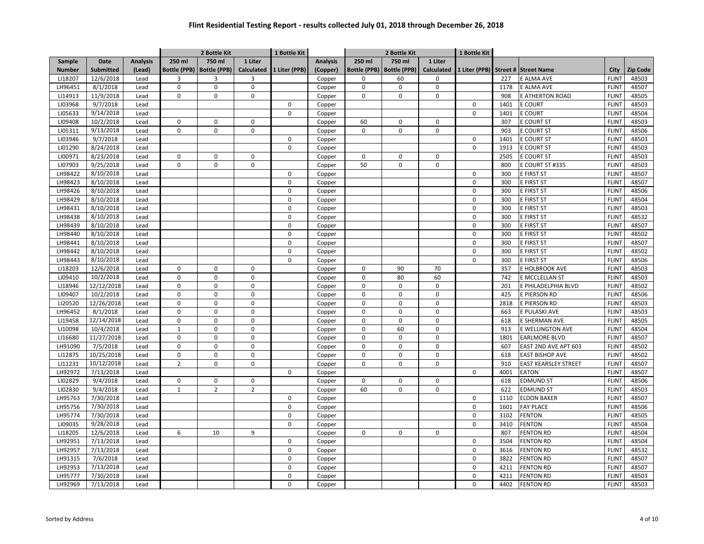|               |            |                 |              | 2 Bottle Kit                |                | 1 Bottle Kit  |                 | 2 Bottle Kit        |                     |             | 1 Bottle Kit  |      |                             |              |          |
|---------------|------------|-----------------|--------------|-----------------------------|----------------|---------------|-----------------|---------------------|---------------------|-------------|---------------|------|-----------------------------|--------------|----------|
| Sample        | Date       | <b>Analysis</b> | 250 ml       | 750 ml                      | 1 Liter        |               | <b>Analysis</b> | 250 ml              | 750 ml              | 1 Liter     |               |      |                             |              |          |
| <b>Number</b> | Submitted  | (Lead)          |              | Bottle (PPB)   Bottle (PPB) | Calculated     | 1 Liter (PPB) | (Copper)        | <b>Bottle (PPB)</b> | <b>Bottle (PPB)</b> | Calculated  | 1 Liter (PPB) |      | Street # Street Name        | City         | Zip Code |
| LI18207       | 12/6/2018  | Lead            | 3            | 3                           | 3              |               | Copper          | $\Omega$            | 60                  | 0           |               | 227  | E ALMA AVE                  | <b>FLINT</b> | 48503    |
| LH96451       | 8/1/2018   | Lead            | $\pmb{0}$    | $\mathbf 0$                 | $\mathsf 0$    |               | Copper          | $\mathbf 0$         | $\mathbf 0$         | 0           |               | 1178 | E ALMA AVE                  | <b>FLINT</b> | 48507    |
| LI14913       | 11/9/2018  | Lead            | $\mathbf 0$  | $\mathbf 0$                 | $\mathbf 0$    |               | Copper          | $\mathbf 0$         | $\mathbf 0$         | 0           |               | 908  | E ATHERTON ROAD             | <b>FLINT</b> | 48505    |
| LI03968       | 9/7/2018   | Lead            |              |                             |                | $\mathbf 0$   | Copper          |                     |                     |             | 0             | 1401 | <b>E COURT</b>              | <b>FLINT</b> | 48503    |
| LI05633       | 9/14/2018  | Lead            |              |                             |                | $\mathbf 0$   | Copper          |                     |                     |             | 0             | 1401 | <b>E COURT</b>              | <b>FLINT</b> | 48504    |
| LI09408       | 10/2/2018  | Lead            | 0            | $\mathsf 0$                 | $\mathbf 0$    |               | Copper          | 60                  | $\mathsf 0$         | 0           |               | 307  | <b>E COURT ST</b>           | <b>FLINT</b> | 48503    |
| LI05311       | 9/13/2018  | Lead            | $\pmb{0}$    | $\mathbf 0$                 | $\mathbf 0$    |               | Copper          | 0                   | $\mathbf 0$         | 0           |               | 903  | E COURT ST                  | <b>FLINT</b> | 48506    |
| LI03946       | 9/7/2018   | Lead            |              |                             |                | $\Omega$      | Copper          |                     |                     |             | 0             | 1401 | E COURT ST                  | <b>FLINT</b> | 48503    |
| LI01290       | 8/24/2018  | Lead            |              |                             |                | $\Omega$      | Copper          |                     |                     |             | 0             | 1913 | E COURT ST                  | <b>FLINT</b> | 48503    |
| LI00971       | 8/23/2018  | Lead            | $\mathbf 0$  | $\mathbf 0$                 | $\mathsf 0$    |               | Copper          | $\mathbf 0$         | $\mathbf 0$         | 0           |               | 2505 | E COURT ST                  | <b>FLINT</b> | 48503    |
| LI07903       | 9/25/2018  | Lead            | $\mathbf 0$  | $\mathbf 0$                 | $\mathbf 0$    |               | Copper          | 50                  | $\mathbf 0$         | 0           |               | 800  | E COURT ST #335             | <b>FLINT</b> | 48503    |
| LH98422       | 8/10/2018  | Lead            |              |                             |                | $\mathbf 0$   | Copper          |                     |                     |             | 0             | 300  | E FIRST ST                  | <b>FLINT</b> | 48507    |
| LH98423       | 8/10/2018  | Lead            |              |                             |                | $\mathbf 0$   | Copper          |                     |                     |             | $\mathsf 0$   | 300  | E FIRST ST                  | <b>FLINT</b> | 48507    |
| LH98426       | 8/10/2018  | Lead            |              |                             |                | $\mathbf 0$   | Copper          |                     |                     |             | 0             | 300  | E FIRST ST                  | <b>FLINT</b> | 48506    |
| LH98429       | 8/10/2018  | Lead            |              |                             |                | $\mathbf 0$   | Copper          |                     |                     |             | 0             | 300  | E FIRST ST                  | <b>FLINT</b> | 48504    |
| LH98431       | 8/10/2018  | Lead            |              |                             |                | $\Omega$      | Copper          |                     |                     |             | 0             | 300  | E FIRST ST                  | <b>FLINT</b> | 48503    |
| LH98438       | 8/10/2018  | Lead            |              |                             |                | $\mathbf 0$   | Copper          |                     |                     |             | 0             | 300  | E FIRST ST                  | <b>FLINT</b> | 48532    |
| LH98439       | 8/10/2018  | Lead            |              |                             |                | $\mathbf 0$   | Copper          |                     |                     |             | 0             | 300  | E FIRST ST                  | <b>FLINT</b> | 48507    |
| LH98440       | 8/10/2018  | Lead            |              |                             |                | $\mathbf 0$   | Copper          |                     |                     |             | 0             | 300  | E FIRST ST                  | <b>FLINT</b> | 48502    |
| LH98441       | 8/10/2018  | Lead            |              |                             |                | $\mathbf 0$   | Copper          |                     |                     |             | 0             | 300  | E FIRST ST                  | <b>FLINT</b> | 48507    |
| LH98442       | 8/10/2018  | Lead            |              |                             |                | <sup>0</sup>  | Copper          |                     |                     |             | 0             | 300  | E FIRST ST                  | <b>FLINT</b> | 48502    |
| LH98443       | 8/10/2018  | Lead            |              |                             |                | $\mathbf 0$   | Copper          |                     |                     |             | 0             | 300  | E FIRST ST                  | <b>FLINT</b> | 48506    |
| LI18203       | 12/6/2018  | Lead            | $\Omega$     | $\mathbf 0$                 | $\mathbf 0$    |               | Copper          | $\mathbf 0$         | 90                  | 70          |               | 357  | E HOLBROOK AVE              | <b>FLINT</b> | 48503    |
| LI09410       | 10/2/2018  | Lead            | $\pmb{0}$    | $\mathbf 0$                 | $\mathsf 0$    |               | Copper          | $\mathbf 0$         | 80                  | 60          |               | 742  | E MCCLELLAN ST              | <b>FLINT</b> | 48503    |
| LI18946       | 12/12/2018 | Lead            | $\pmb{0}$    | $\mathbf 0$                 | $\mathsf 0$    |               | Copper          | $\mathbf 0$         | $\mathbf 0$         | 0           |               | 201  | E PHILADELPHIA BLVD         | <b>FLINT</b> | 48502    |
| LI09407       | 10/2/2018  | Lead            | $\pmb{0}$    | $\mathbf 0$                 | $\mathbf 0$    |               | Copper          | $\mathbf 0$         | $\mathbf 0$         | 0           |               | 425  | E PIERSON RD                | <b>FLINT</b> | 48506    |
| LI20520       | 12/26/2018 | Lead            | $\pmb{0}$    | $\mathbf 0$                 | $\mathbf 0$    |               | Copper          | $\mathbf 0$         | $\mathbf 0$         | $\mathbf 0$ |               | 2818 | E PIERSON RD                | <b>FLINT</b> | 48503    |
| LH96452       | 8/1/2018   | Lead            | $\pmb{0}$    | $\mathbf 0$                 | $\mathsf 0$    |               | Copper          | 0                   | $\mathsf 0$         | 0           |               | 663  | E PULASKI AVE               | <b>FLINT</b> | 48503    |
| LI19458       | 12/14/2018 | Lead            | $\pmb{0}$    | $\mathbf 0$                 | $\mathbf 0$    |               | Copper          | $\mathbf 0$         | $\mathbf 0$         | 0           |               | 618  | E SHERMAN AVE               | <b>FLINT</b> | 48505    |
| LI10098       | 10/4/2018  | Lead            | $\mathbf 1$  | $\pmb{0}$                   | $\mathsf 0$    |               | Copper          | $\mathbf 0$         | 60                  | 0           |               | 913  | E WELLINGTON AVE            | <b>FLINT</b> | 48504    |
| LI16680       | 11/27/2018 | Lead            | $\pmb{0}$    | $\mathbf 0$                 | $\mathbf 0$    |               | Copper          | 0                   | $\mathbf 0$         | 0           |               | 1801 | <b>EARLMORE BLVD</b>        | <b>FLINT</b> | 48507    |
| LH91090       | 7/5/2018   | Lead            | $\pmb{0}$    | $\pmb{0}$                   | $\mathsf 0$    |               | Copper          | $\mathbf 0$         | $\mathbf 0$         | 0           |               | 607  | EAST 2ND AVE APT 603        | <b>FLINT</b> | 48502    |
| LI12875       | 10/25/2018 | Lead            | $\pmb{0}$    | $\mathbf 0$                 | $\mathbf 0$    |               | Copper          | $\mathbf 0$         | $\mathbf 0$         | $\mathbf 0$ |               | 618  | <b>EAST BISHOP AVE</b>      | <b>FLINT</b> | 48502    |
| LI11231       | 10/12/2018 | Lead            | $\mathbf 2$  | $\mathbf 0$                 | $\mathbf 0$    |               | Copper          | $\mathbf 0$         | $\mathbf 0$         | 0           |               | 910  | <b>EAST KEARSLEY STREET</b> | <b>FLINT</b> | 48507    |
| LH92972       | 7/13/2018  | Lead            |              |                             |                | $\Omega$      | Copper          |                     |                     |             | 0             | 4001 | <b>EATON</b>                | <b>FLINT</b> | 48507    |
| LI02829       | 9/4/2018   | Lead            | $\pmb{0}$    | $\mathbf 0$                 | $\mathbf 0$    |               | Copper          | $\mathbf 0$         | $\mathbf 0$         | 0           |               | 618  | <b>EDMUND ST</b>            | <b>FLINT</b> | 48506    |
| LI02830       | 9/4/2018   | Lead            | $\mathbf{1}$ | $\overline{2}$              | $\overline{2}$ |               | Copper          | 60                  | $\mathbf 0$         | 0           |               | 622  | EDMUND ST                   | <b>FLINT</b> | 48503    |
| LH95763       | 7/30/2018  | Lead            |              |                             |                | $\mathbf 0$   | Copper          |                     |                     |             | 0             | 1110 | <b>ELDON BAKER</b>          | <b>FLINT</b> | 48507    |
| LH95756       | 7/30/2018  | Lead            |              |                             |                | $\mathbf 0$   | Copper          |                     |                     |             | 0             | 1601 | <b>FAY PLACE</b>            | <b>FLINT</b> | 48506    |
| LH95774       | 7/30/2018  | Lead            |              |                             |                | $\mathbf 0$   | Copper          |                     |                     |             | 0             | 3102 | <b>FENTON</b>               | <b>FLINT</b> | 48505    |
| LI09035       | 9/28/2018  | Lead            |              |                             |                | $\mathbf 0$   | Copper          |                     |                     |             | 0             | 3410 | <b>FENTON</b>               | <b>FLINT</b> | 48504    |
| LI18205       | 12/6/2018  | Lead            | 6            | 10                          | 9              |               | Copper          | $\mathsf 0$         | $\mathsf 0$         | 0           |               | 807  | <b>FENTON RD</b>            | <b>FLINT</b> | 48504    |
| LH92951       | 7/13/2018  | Lead            |              |                             |                | $\mathbf 0$   | Copper          |                     |                     |             | 0             | 3504 | <b>FENTON RD</b>            | <b>FLINT</b> | 48504    |
| LH92957       | 7/13/2018  | Lead            |              |                             |                | $\Omega$      | Copper          |                     |                     |             | 0             | 3616 | <b>FENTON RD</b>            | <b>FLINT</b> | 48532    |
| LH91315       | 7/6/2018   | Lead            |              |                             |                | $\mathbf 0$   | Copper          |                     |                     |             | 0             | 3822 | <b>FENTON RD</b>            | <b>FLINT</b> | 48507    |
| LH92953       | 7/13/2018  | Lead            |              |                             |                | $\mathbf 0$   | Copper          |                     |                     |             | 0             | 4211 | <b>FENTON RD</b>            | <b>FLINT</b> | 48507    |
| LH95777       | 7/30/2018  | Lead            |              |                             |                | 0             | Copper          |                     |                     |             | 0             | 4211 | <b>FENTON RD</b>            | <b>FLINT</b> | 48503    |
| LH92969       | 7/13/2018  | Lead            |              |                             |                | $\mathbf 0$   | Copper          |                     |                     |             | 0             | 4402 | <b>FENTON RD</b>            | <b>FLINT</b> | 48503    |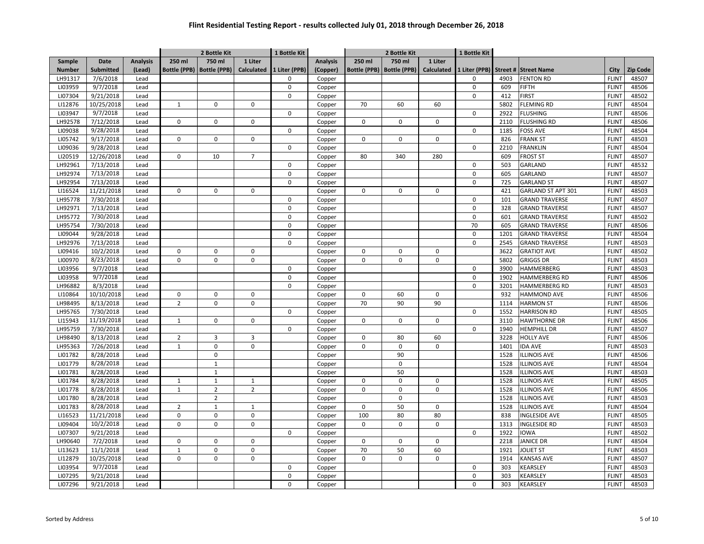|               |            |                 |                | 2 Bottle Kit                |                | 1 Bottle Kit  |                 | 2 Bottle Kit        |                     |                   | 1 Bottle Kit  |      |                       |              |                 |
|---------------|------------|-----------------|----------------|-----------------------------|----------------|---------------|-----------------|---------------------|---------------------|-------------------|---------------|------|-----------------------|--------------|-----------------|
| Sample        | Date       | <b>Analysis</b> | 250 ml         | 750 ml                      | 1 Liter        |               | <b>Analysis</b> | 250 ml              | 750 ml              | 1 Liter           |               |      |                       |              |                 |
| <b>Number</b> | Submitted  | (Lead)          |                | Bottle (PPB)   Bottle (PPB) | Calculated     | 1 Liter (PPB) | (Copper)        | <b>Bottle (PPB)</b> | <b>Bottle (PPB)</b> | <b>Calculated</b> | 1 Liter (PPB) |      | Street # Street Name  | City         | <b>Zip Code</b> |
| LH91317       | 7/6/2018   | Lead            |                |                             |                | $\Omega$      | Copper          |                     |                     |                   | $\Omega$      | 4903 | <b>FENTON RD</b>      | <b>FLINT</b> | 48507           |
| LI03959       | 9/7/2018   | Lead            |                |                             |                | $\mathbf 0$   | Copper          |                     |                     |                   | $\mathsf 0$   | 609  | FIFTH                 | <b>FLINT</b> | 48506           |
| LI07304       | 9/21/2018  | Lead            |                |                             |                | $\mathbf 0$   | Copper          |                     |                     |                   | 0             | 412  | <b>FIRST</b>          | <b>FLINT</b> | 48502           |
| LI12876       | 10/25/2018 | Lead            | $\mathbf{1}$   | $\mathsf 0$                 | $\mathbf 0$    |               | Copper          | 70                  | 60                  | 60                |               | 5802 | <b>FLEMING RD</b>     | <b>FLINT</b> | 48504           |
| LI03947       | 9/7/2018   | Lead            |                |                             |                | $\mathbf 0$   | Copper          |                     |                     |                   | 0             | 2922 | <b>FLUSHING</b>       | <b>FLINT</b> | 48506           |
| LH92578       | 7/12/2018  | Lead            | 0              | $\mathsf 0$                 | $\mathbf 0$    |               | Copper          | 0                   | $\mathsf 0$         | 0                 |               | 2110 | <b>FLUSHING RD</b>    | <b>FLINT</b> | 48506           |
| LI09038       | 9/28/2018  | Lead            |                |                             |                | $\Omega$      | Copper          |                     |                     |                   | 0             | 1185 | FOSS AVE              | <b>FLINT</b> | 48504           |
| LI05742       | 9/17/2018  | Lead            | $\pmb{0}$      | $\mathbf 0$                 | $\mathbf 0$    |               | Copper          | $\mathbf 0$         | $\mathbf 0$         | 0                 |               | 826  | <b>FRANK ST</b>       | <b>FLINT</b> | 48503           |
| LI09036       | 9/28/2018  | Lead            |                |                             |                | $\Omega$      | Copper          |                     |                     |                   | 0             | 2210 | <b>FRANKLIN</b>       | <b>FLINT</b> | 48504           |
| LI20519       | 12/26/2018 | Lead            | $\Omega$       | 10                          | $\overline{7}$ |               | Copper          | 80                  | 340                 | 280               |               | 609  | <b>FROST ST</b>       | <b>FLINT</b> | 48507           |
| LH92961       | 7/13/2018  | Lead            |                |                             |                | $\mathbf 0$   | Copper          |                     |                     |                   | $\mathbf 0$   | 503  | GARLAND               | <b>FLINT</b> | 48532           |
| LH92974       | 7/13/2018  | Lead            |                |                             |                | 0             | Copper          |                     |                     |                   | 0             | 605  | GARLAND               | <b>FLINT</b> | 48507           |
| LH92954       | 7/13/2018  | Lead            |                |                             |                | $\mathbf 0$   | Copper          |                     |                     |                   | 0             | 725  | <b>GARLAND ST</b>     | <b>FLINT</b> | 48507           |
| LI16524       | 11/21/2018 | Lead            | 0              | $\mathbf 0$                 | 0              |               | Copper          | 0                   | $\mathbf 0$         | 0                 |               | 421  | GARLAND ST APT 301    | <b>FLINT</b> | 48503           |
| LH95778       | 7/30/2018  | Lead            |                |                             |                | $\Omega$      | Copper          |                     |                     |                   | 0             | 101  | <b>GRAND TRAVERSE</b> | <b>FLINT</b> | 48507           |
| LH92971       | 7/13/2018  | Lead            |                |                             |                | $\mathbf 0$   | Copper          |                     |                     |                   | 0             | 328  | <b>GRAND TRAVERSE</b> | <b>FLINT</b> | 48507           |
| LH95772       | 7/30/2018  | Lead            |                |                             |                | $\Omega$      | Copper          |                     |                     |                   | 0             | 601  | <b>GRAND TRAVERSE</b> | <b>FLINT</b> | 48502           |
| LH95754       | 7/30/2018  | Lead            |                |                             |                | $\mathbf 0$   | Copper          |                     |                     |                   | 70            | 605  | <b>GRAND TRAVERSE</b> | <b>FLINT</b> | 48506           |
| LI09044       | 9/28/2018  | Lead            |                |                             |                | $\mathbf 0$   | Copper          |                     |                     |                   | 0             | 1201 | <b>GRAND TRAVERSE</b> | <b>FLINT</b> | 48504           |
| LH92976       | 7/13/2018  | Lead            |                |                             |                | 0             | Copper          |                     |                     |                   | 0             | 2545 | <b>GRAND TRAVERSE</b> | <b>FLINT</b> | 48503           |
| LI09416       | 10/2/2018  | Lead            | 0              | $\Omega$                    | 0              |               | Copper          | $\Omega$            | $\Omega$            | $\Omega$          |               | 3622 | <b>GRATIOT AVE</b>    | <b>FLINT</b> | 48502           |
| LI00970       | 8/23/2018  | Lead            | $\mathbf 0$    | $\mathbf 0$                 | $\mathbf 0$    |               | Copper          | $\mathbf 0$         | $\mathbf 0$         | 0                 |               | 5802 | <b>GRIGGS DR</b>      | <b>FLINT</b> | 48503           |
| LI03956       | 9/7/2018   | Lead            |                |                             |                | $\mathbf 0$   | Copper          |                     |                     |                   | 0             | 3900 | HAMMERBERG            | <b>FLINT</b> | 48503           |
| LI03958       | 9/7/2018   | Lead            |                |                             |                | $\mathbf 0$   | Copper          |                     |                     |                   | 0             | 1902 | <b>HAMMERBERG RD</b>  | <b>FLINT</b> | 48506           |
| LH96882       | 8/3/2018   | Lead            |                |                             |                | 0             | Copper          |                     |                     |                   | 0             | 3201 | HAMMERBERG RD         | <b>FLINT</b> | 48503           |
| LI10864       | 10/10/2018 | Lead            | $\pmb{0}$      | $\mathbf 0$                 | $\mathbf 0$    |               | Copper          | 0                   | 60                  | 0                 |               | 932  | HAMMOND AVE           | <b>FLINT</b> | 48506           |
| LH98495       | 8/13/2018  | Lead            | $\overline{2}$ | $\mathbf 0$                 | $\mathsf 0$    |               | Copper          | 70                  | 90                  | 90                |               | 1114 | <b>HARMON ST</b>      | <b>FLINT</b> | 48506           |
| LH95765       | 7/30/2018  | Lead            |                |                             |                | $\mathbf 0$   | Copper          |                     |                     |                   | $\mathbf 0$   | 1552 | <b>HARRISON RD</b>    | <b>FLINT</b> | 48505           |
| LI15943       | 11/19/2018 | Lead            | $\mathbf{1}$   | $\mathbf 0$                 | $\mathbf 0$    |               | Copper          | 0                   | $\mathbf 0$         | 0                 |               | 3110 | <b>HAWTHORNE DR</b>   | <b>FLINT</b> | 48506           |
| LH95759       | 7/30/2018  | Lead            |                |                             |                | 0             | Copper          |                     |                     |                   | $\mathbf 0$   | 1940 | <b>HEMPHILL DR</b>    | <b>FLINT</b> | 48507           |
| LH98490       | 8/13/2018  | Lead            | $\overline{2}$ | $\overline{3}$              | $\overline{3}$ |               | Copper          | 0                   | 80                  | 60                |               | 3228 | <b>HOLLY AVE</b>      | <b>FLINT</b> | 48506           |
| LH95363       | 7/26/2018  | Lead            | $\mathbf 1$    | $\mathbf 0$                 | $\mathbf 0$    |               | Copper          | $\Omega$            | $\mathbf 0$         | 0                 |               | 1401 | <b>IDA AVE</b>        | <b>FLINT</b> | 48503           |
| LI01782       | 8/28/2018  | Lead            |                | $\mathbf 0$                 |                |               | Copper          |                     | 90                  |                   |               | 1528 | <b>ILLINOIS AVE</b>   | <b>FLINT</b> | 48506           |
| LI01779       | 8/28/2018  | Lead            |                | $\mathbf{1}$                |                |               | Copper          |                     | $\mathbf 0$         |                   |               | 1528 | <b>LLINOIS AVE</b>    | <b>FLINT</b> | 48504           |
| LI01781       | 8/28/2018  | Lead            |                | $\,1\,$                     |                |               | Copper          |                     | 50                  |                   |               | 1528 | <b>LLINOIS AVE</b>    | <b>FLINT</b> | 48503           |
| LI01784       | 8/28/2018  | Lead            | $\mathbf{1}$   | $\mathbf{1}$                | 1              |               | Copper          | $\mathbf 0$         | $\mathbf 0$         | $\Omega$          |               | 1528 | <b>LLINOIS AVE</b>    | <b>FLINT</b> | 48505           |
| LI01778       | 8/28/2018  | Lead            | $\mathbf 1$    | $\overline{2}$              | $\overline{2}$ |               | Copper          | $\mathbf 0$         | $\mathbf 0$         | 0                 |               | 1528 | <b>ILLINOIS AVE</b>   | <b>FLINT</b> | 48506           |
| LI01780       | 8/28/2018  | Lead            |                | $\overline{2}$              |                |               | Copper          |                     | $\mathbf 0$         |                   |               | 1528 | <b>ILLINOIS AVE</b>   | <b>FLINT</b> | 48503           |
| LI01783       | 8/28/2018  | Lead            | $\overline{2}$ | $\mathbf{1}$                | $\mathbf{1}$   |               | Copper          | $\mathbf 0$         | 50                  | 0                 |               | 1528 | <b>ILLINOIS AVE</b>   | <b>FLINT</b> | 48504           |
| LI16523       | 11/21/2018 | Lead            | $\pmb{0}$      | $\pmb{0}$                   | $\mathsf 0$    |               | Copper          | 100                 | 80                  | 80                |               | 838  | INGLESIDE AVE         | <b>FLINT</b> | 48505           |
| LI09404       | 10/2/2018  | Lead            | $\pmb{0}$      | $\mathbf 0$                 | $\mathbf 0$    |               | Copper          | 0                   | $\mathbf 0$         | 0                 |               | 1313 | INGLESIDE RD          | <b>FLINT</b> | 48503           |
| LI07307       | 9/21/2018  | Lead            |                |                             |                | $\Omega$      | Copper          |                     |                     |                   | $\Omega$      | 1922 | <b>IOWA</b>           | <b>FLINT</b> | 48502           |
| LH90640       | 7/2/2018   | Lead            | $\mathbf 0$    | $\mathsf 0$                 | $\mathbf 0$    |               | Copper          | 0                   | $\mathbf 0$         | $\mathbf 0$       |               | 2218 | <b>JANICE DR</b>      | <b>FLINT</b> | 48504           |
| LI13623       | 11/1/2018  | Lead            | $\mathbf{1}$   | $\mathsf 0$                 | $\mathbf 0$    |               | Copper          | 70                  | 50                  | 60                |               | 1921 | <b>JOLIET ST</b>      | <b>FLINT</b> | 48503           |
| LI12879       | 10/25/2018 | Lead            | 0              | $\mathbf 0$                 | $\mathbf 0$    |               | Copper          | $\mathbf 0$         | $\mathbf 0$         | 0                 |               | 1914 | KANSAS AVE            | <b>FLINT</b> | 48507           |
| LI03954       | 9/7/2018   | Lead            |                |                             |                | $\mathsf 0$   | Copper          |                     |                     |                   | 0             | 303  | KEARSLEY              | <b>FLINT</b> | 48503           |
| LI07295       | 9/21/2018  | Lead            |                |                             |                | 0             | Copper          |                     |                     |                   | 0             | 303  | KEARSLEY              | <b>FLINT</b> | 48503           |
| LI07296       | 9/21/2018  | Lead            |                |                             |                | <sup>0</sup>  | Copper          |                     |                     |                   | $\Omega$      | 303  | <b>CEARSLEY</b>       | <b>FLINT</b> | 48503           |
|               |            |                 |                |                             |                |               |                 |                     |                     |                   |               |      |                       |              |                 |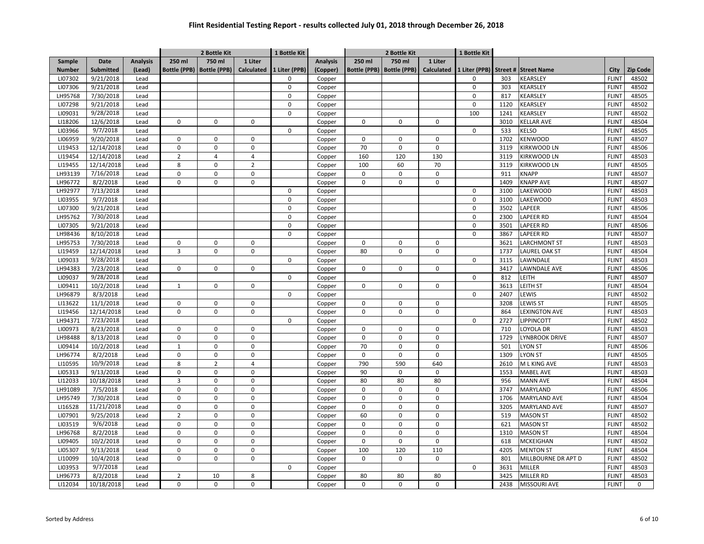|                    |                         |                 |                     | 2 Bottle Kit                  |                   | 1 Bottle Kit  |                 | 2 Bottle Kit        |                     |            | 1 Bottle Kit |              |                                    |                              |                 |
|--------------------|-------------------------|-----------------|---------------------|-------------------------------|-------------------|---------------|-----------------|---------------------|---------------------|------------|--------------|--------------|------------------------------------|------------------------------|-----------------|
| Sample             | Date                    | <b>Analysis</b> | 250 ml              | 750 ml                        | 1 Liter           |               | <b>Analysis</b> | 250 ml              | 750 ml              | 1 Liter    |              |              |                                    |                              |                 |
| <b>Number</b>      | <b>Submitted</b>        | (Lead)          | <b>Bottle (PPB)</b> | <b>Bottle (PPB)</b>           | <b>Calculated</b> | 1 Liter (PPB) | (Copper)        | <b>Bottle (PPB)</b> | <b>Bottle (PPB)</b> | Calculated |              |              | 1 Liter (PPB) Street # Street Name | City                         | <b>Zip Code</b> |
| LI07302            | 9/21/2018               | Lead            |                     |                               |                   | $\Omega$      | Copper          |                     |                     |            | $\Omega$     | 303          | KEARSLEY                           | <b>FLINT</b>                 | 48502           |
| LI07306            | 9/21/2018               | Lead            |                     |                               |                   | $\mathbf 0$   | Copper          |                     |                     |            | $\pmb{0}$    | 303          | KEARSLEY                           | <b>FLINT</b>                 | 48502           |
| LH95768            | 7/30/2018               | Lead            |                     |                               |                   | $\mathbf 0$   | Copper          |                     |                     |            | $\mathbf 0$  | 817          | KEARSLEY                           | <b>FLINT</b>                 | 48505           |
| LI07298            | 9/21/2018               | Lead            |                     |                               |                   | $\mathbf 0$   | Copper          |                     |                     |            | $\pmb{0}$    | 1120         | KEARSLEY                           | <b>FLINT</b>                 | 48502           |
| LI09031            | 9/28/2018               | Lead            |                     |                               |                   | $\mathbf 0$   | Copper          |                     |                     |            | 100          | 1241         | KEARSLEY                           | <b>FLINT</b>                 | 48502           |
| LI18206            | 12/6/2018               | Lead            | $\mathbf 0$         | $\mathsf 0$                   | 0                 |               | Copper          | 0                   | $\mathbf 0$         | 0          |              | 3010         | KELLAR AVE                         | <b>FLINT</b>                 | 48504           |
| LI03966            | 9/7/2018                | Lead            |                     |                               |                   | $\mathbf 0$   | Copper          |                     |                     |            | $\mathbf 0$  | 533          | <b>ELSO</b>                        | <b>FLINT</b>                 | 48505           |
| LI06959            | 9/20/2018               | Lead            | $\pmb{0}$           | $\mathbf 0$                   | 0                 |               | Copper          | 0                   | $\mathbf 0$         | 0          |              | 1702         | KENWOOD                            | <b>FLINT</b>                 | 48507           |
| LI19453            | 12/14/2018              | Lead            | $\mathbf 0$         | $\mathbf 0$                   | $\mathbf 0$       |               | Copper          | 70                  | $\mathbf 0$         | 0          |              | 3119         | KIRKWOOD LN                        | <b>FLINT</b>                 | 48506           |
| LI19454            | 12/14/2018              | Lead            | $\overline{2}$      | $\overline{4}$                | $\overline{4}$    |               | Copper          | 160                 | 120                 | 130        |              | 3119         | KIRKWOOD LN                        | <b>FLINT</b>                 | 48503           |
| LI19455            | 12/14/2018              | Lead            | 8                   | $\mathbf 0$                   | $\overline{2}$    |               | Copper          | 100                 | 60                  | 70         |              | 3119         | KIRKWOOD LN                        | <b>FLINT</b>                 | 48505           |
| LH93139            | 7/16/2018               | Lead            | $\pmb{0}$           | $\mathbf 0$                   | 0                 |               | Copper          | 0                   | 0                   | 0          |              | 911          | <b>KNAPP</b>                       | <b>FLINT</b>                 | 48507           |
| LH96772            | 8/2/2018                | Lead            | $\mathbf 0$         | $\mathbf 0$                   | $\mathbf 0$       |               | Copper          | $\mathbf 0$         | $\mathbf 0$         | 0          |              | 1409         | <b>KNAPP AVE</b>                   | <b>FLINT</b>                 | 48507           |
| LH92977            | 7/13/2018               | Lead            |                     |                               |                   | $\mathbf 0$   | Copper          |                     |                     |            | $\pmb{0}$    | 3100         | LAKEWOOD                           | <b>FLINT</b>                 | 48503           |
| LI03955            | 9/7/2018                | Lead            |                     |                               |                   | $\mathbf 0$   | Copper          |                     |                     |            | $\mathbf 0$  | 3100         | LAKEWOOD                           | <b>FLINT</b>                 | 48503           |
| LI07300            | 9/21/2018               | Lead            |                     |                               |                   | $\mathbf 0$   | Copper          |                     |                     |            | $\mathbf 0$  | 3502         | LAPEER                             | <b>FLINT</b>                 | 48506           |
| LH95762            | 7/30/2018               | Lead            |                     |                               |                   | $\mathbf 0$   | Copper          |                     |                     |            | $\mathbf 0$  | 2300         | APEER RD                           | <b>FLINT</b>                 | 48504           |
| LI07305            | 9/21/2018               | Lead            |                     |                               |                   | $\mathbf 0$   | Copper          |                     |                     |            | $\pmb{0}$    | 3501         | LAPEER RD                          | <b>FLINT</b>                 | 48506           |
| LH98436            | 8/10/2018               | Lead            |                     |                               |                   | $\mathbf 0$   | Copper          |                     |                     |            | $\mathbf 0$  | 3867         | LAPEER RD                          | <b>FLINT</b>                 | 48507           |
| LH95753            | 7/30/2018               | Lead            | $\pmb{0}$           | $\mathbf 0$                   | 0                 |               | Copper          | 0                   | 0                   | 0          |              | 3621         | <b>LARCHMONT ST</b>                | <b>FLINT</b>                 | 48503           |
| LI19459            | 12/14/2018              | Lead            | 3                   | $\mathbf 0$                   | $\mathbf 0$       |               | Copper          | 80                  | 0                   | 0          |              | 1737         | LAUREL OAK ST                      | <b>FLINT</b>                 | 48504           |
| LI09033            | 9/28/2018               | Lead            |                     |                               |                   | $\mathbf 0$   | Copper          |                     |                     |            | $\mathbf 0$  | 3115         | <b>AWNDALE</b>                     | <b>FLINT</b>                 | 48503           |
| LH94383            | 7/23/2018               | Lead            | $\mathbf 0$         | $\mathbf 0$                   | $\mathbf 0$       |               | Copper          | $\mathbf 0$         | $\mathbf 0$         | 0          |              | 3417         | LAWNDALE AVE                       | <b>FLINT</b>                 | 48506           |
| LI09037            | 9/28/2018               | Lead            |                     |                               |                   | $\mathbf 0$   | Copper          |                     |                     |            | $\mathbf 0$  | 812          | LEITH                              | <b>FLINT</b>                 | 48507           |
| LI09411            | 10/2/2018               | Lead            | $\mathbf{1}$        | $\mathbf 0$                   | 0                 |               | Copper          | $\mathbf 0$         | $\mathbf 0$         | 0          |              | 3613         | LEITH ST                           | <b>FLINT</b>                 | 48504           |
| LH96879            | 8/3/2018                | Lead            |                     |                               |                   | $\mathsf 0$   | Copper          |                     |                     |            | $\mathsf 0$  | 2407         | LEWIS                              | <b>FLINT</b>                 | 48502           |
| LI13622            | 11/1/2018               | Lead            | $\pmb{0}$           | $\mathsf 0$                   | 0                 |               | Copper          | 0                   | 0                   | 0          |              | 3208         | LEWIS ST                           | <b>FLINT</b>                 | 48505           |
| LI19456            | 12/14/2018              | Lead            | $\pmb{0}$           | $\pmb{0}$                     | $\mathbf 0$       |               | Copper          | $\mathbf 0$         | $\mathbf 0$         | 0          |              | 864          | <b>EXINGTON AVE</b>                | <b>FLINT</b>                 | 48503           |
| LH94371            | 7/23/2018               | Lead            |                     |                               |                   | $\Omega$      |                 |                     |                     |            | $\mathbf 0$  | 2727         | <b>LIPPINCOTT</b>                  | <b>FLINT</b>                 | 48502           |
| LI00973            | 8/23/2018               | Lead            | $\pmb{0}$           | $\mathsf 0$                   | $\mathsf 0$       |               | Copper          | $\mathbf 0$         | $\mathbf 0$         | 0          |              | 710          | OYOLA DR                           | <b>FLINT</b>                 | 48503           |
| LH98488            | 8/13/2018               |                 | $\pmb{0}$           | $\mathbf 0$                   | $\mathbf 0$       |               | Copper          | $\mathbf 0$         | $\mathbf 0$         | 0          |              | 1729         |                                    | <b>FLINT</b>                 |                 |
| LI09414            | 10/2/2018               | Lead            | $\mathbf 1$         | $\mathsf 0$                   | $\mathsf 0$       |               | Copper          | 70                  | $\mathbf 0$         | 0          |              | 501          | LYNBROOK DRIVE                     |                              | 48507<br>48506  |
|                    | 8/2/2018                | Lead            | $\mathbf 0$         |                               | $\mathbf 0$       |               | Copper          | $\mathbf 0$         | $\mathbf 0$         | 0          |              |              | <b>LYON ST</b>                     | <b>FLINT</b>                 |                 |
| LH96774<br>LI10595 | 10/9/2018               | Lead            | 8                   | $\mathsf 0$<br>$\overline{2}$ | $\overline{4}$    |               | Copper          | 790                 | 590                 | 640        |              | 1309<br>2610 | <b>LYON ST</b><br>M L KING AVE     | <b>FLINT</b><br><b>FLINT</b> | 48505<br>48503  |
| LI05313            |                         | Lead            | $\mathbf 0$         | $\mathbf 0$                   | $\mathbf 0$       |               | Copper          | 90                  | $\mathbf 0$         | 0          |              | 1553         | <b>MABEL AVE</b>                   | <b>FLINT</b>                 | 48503           |
| LI12033            | 9/13/2018<br>10/18/2018 | Lead<br>Lead    | $\mathsf 3$         | $\mathbf 0$                   | $\mathbf 0$       |               | Copper          | 80                  | 80                  | 80         |              | 956          | <b>MANN AVE</b>                    | <b>FLINT</b>                 | 48504           |
| LH91089            |                         |                 | $\mathbf 0$         | $\mathbf 0$                   | $\mathbf 0$       |               | Copper          | $\mathbf 0$         | $\mathbf 0$         | 0          |              | 3747         | MARYLAND                           | <b>FLINT</b>                 |                 |
|                    | 7/5/2018                | Lead            |                     |                               |                   |               | Copper          |                     | $\mathbf 0$         |            |              |              |                                    |                              | 48506           |
| LH95749            | 7/30/2018               | Lead            | $\pmb{0}$           | $\mathbf 0$                   | 0                 |               | Copper          | $\mathbf 0$         |                     | 0          |              | 1706         | <b>MARYLAND AVE</b>                | <b>FLINT</b>                 | 48504           |
| LI16528            | 11/21/2018              | Lead            | $\pmb{0}$           | $\mathbf 0$                   | $\mathbf 0$       |               | Copper          | $\mathbf 0$         | $\mathbf 0$         | 0          |              | 3205         | <b>MARYLAND AVE</b>                | <b>FLINT</b>                 | 48507           |
| LI07901            | 9/25/2018               | Lead            | $\mathbf 2$         | $\mathbf 0$                   | 0                 |               | Copper          | 60                  | $\mathsf 0$         | 0          |              | 519          | <b>MASON ST</b>                    | <b>FLINT</b>                 | 48502           |
| LI03519            | 9/6/2018                | Lead            | $\pmb{0}$           | $\mathbf 0$                   | $\mathsf 0$       |               | Copper          | $\mathbf 0$         | $\mathbf 0$         | 0          |              | 621          | <b>MASON ST</b>                    | <b>FLINT</b>                 | 48502           |
| LH96768            | 8/2/2018                | Lead            | $\pmb{0}$           | $\mathbf 0$                   | $\mathsf 0$       |               | Copper          | $\mathbf 0$         | $\mathsf 0$         | 0          |              | 1310         | <b>MASON ST</b>                    | <b>FLINT</b>                 | 48504           |
| LI09405            | 10/2/2018               | Lead            | $\pmb{0}$           | $\pmb{0}$                     | $\mathsf 0$       |               | Copper          | $\mathbf 0$         | $\mathbf 0$         | 0          |              | 618          | MCKEIGHAN                          | <b>FLINT</b>                 | 48502           |
| LI05307            | 9/13/2018               | Lead            | $\pmb{0}$           | $\mathbf 0$                   | $\mathsf 0$       |               | Copper          | 100                 | 120                 | 110        |              | 4205         | <b>MENTON ST</b>                   | <b>FLINT</b>                 | 48504           |
| LI10099            | 10/4/2018               | Lead            | $\pmb{0}$           | $\mathbf 0$                   | $\mathbf 0$       |               | Copper          | $\mathbf 0$         | $\mathbf 0$         | 0          |              | 801          | MILLBOURNE DR APT D                | <b>FLINT</b>                 | 48502           |
| LI03953            | 9/7/2018                | Lead            |                     |                               |                   | $\mathbf 0$   | Copper          |                     |                     |            | $\mathbf 0$  | 3631         | MILLER                             | <b>FLINT</b>                 | 48503           |
| LH96773            | 8/2/2018                | Lead            | $\overline{2}$      | 10                            | 8                 |               | Copper          | 80                  | 80                  | 80         |              | 3425         | <b>MILLER RD</b>                   | <b>FLINT</b>                 | 48503           |
| LI12034            | 10/18/2018              | Lead            | $\pmb{0}$           | $\mathbf 0$                   | 0                 |               | Copper          | $\mathbf 0$         | $\mathbf 0$         | 0          |              | 2438         | <b>MISSOURI AVE</b>                | <b>FLINT</b>                 | $\mathsf 0$     |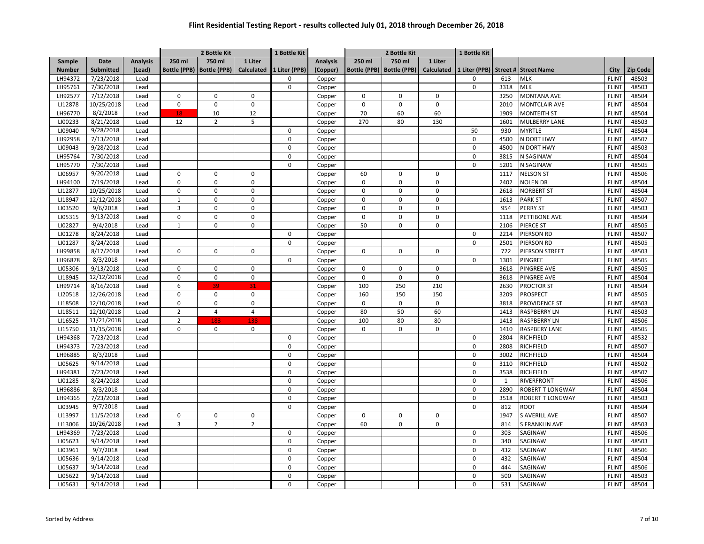|               |                  |                 |                     | 2 Bottle Kit        |                   | 1 Bottle Kit  |                 | 2 Bottle Kit        |                     |             | 1 Bottle Kit |              |                                    |              |                 |
|---------------|------------------|-----------------|---------------------|---------------------|-------------------|---------------|-----------------|---------------------|---------------------|-------------|--------------|--------------|------------------------------------|--------------|-----------------|
| Sample        | Date             | <b>Analysis</b> | 250 ml              | 750 ml              | 1 Liter           |               | <b>Analysis</b> | 250 ml              | 750 ml              | 1 Liter     |              |              |                                    |              |                 |
| <b>Number</b> | <b>Submitted</b> | (Lead)          | <b>Bottle (PPB)</b> | <b>Bottle (PPB)</b> | <b>Calculated</b> | 1 Liter (PPB) | (Copper)        | <b>Bottle (PPB)</b> | <b>Bottle (PPB)</b> | Calculated  |              |              | 1 Liter (PPB) Street # Street Name | City         | <b>Zip Code</b> |
| LH94372       | 7/23/2018        | Lead            |                     |                     |                   | $\Omega$      | Copper          |                     |                     |             | $\Omega$     | 613          | <b>MLK</b>                         | <b>FLINT</b> | 48503           |
| LH95761       | 7/30/2018        | Lead            |                     |                     |                   | $\mathsf 0$   | Copper          |                     |                     |             | $\mathsf 0$  | 3318         | <b>MLK</b>                         | <b>FLINT</b> | 48503           |
| LH92577       | 7/12/2018        | Lead            | $\pmb{0}$           | $\mathbf 0$         | $\mathbf 0$       |               | Copper          | $\mathbf 0$         | $\mathbf 0$         | $\mathbf 0$ |              | 3250         | <b>MONTANA AVE</b>                 | <b>FLINT</b> | 48504           |
| LI12878       | 10/25/2018       | Lead            | $\pmb{0}$           | $\mathsf 0$         | $\mathsf 0$       |               | Copper          | $\mathbf 0$         | $\mathsf 0$         | 0           |              | 2010         | <b>MONTCLAIR AVE</b>               | <b>FLINT</b> | 48504           |
| LH96770       | 8/2/2018         | Lead            | 18                  | 10                  | 12                |               | Copper          | 70                  | 60                  | 60          |              | 1909         | <b>MONTEITH ST</b>                 | <b>FLINT</b> | 48504           |
| LI00233       | 8/21/2018        | Lead            | 12                  | $\overline{2}$      | 5                 |               | Copper          | 270                 | 80                  | 130         |              | 1601         | MULBERRY LANE                      | <b>FLINT</b> | 48503           |
| LI09040       | 9/28/2018        | Lead            |                     |                     |                   | 0             | Copper          |                     |                     |             | 50           | 930          | <b>MYRTLE</b>                      | <b>FLINT</b> | 48504           |
| LH92958       | 7/13/2018        | Lead            |                     |                     |                   | $\mathbf 0$   | Copper          |                     |                     |             | $\mathbf 0$  | 4500         | N DORT HWY                         | <b>FLINT</b> | 48507           |
| LI09043       | 9/28/2018        | Lead            |                     |                     |                   | $\mathbf 0$   | Copper          |                     |                     |             | $\mathbf 0$  | 4500         | N DORT HWY                         | <b>FLINT</b> | 48503           |
| LH95764       | 7/30/2018        | Lead            |                     |                     |                   | $\mathbf 0$   | Copper          |                     |                     |             | $\pmb{0}$    | 3815         | N SAGINAW                          | <b>FLINT</b> | 48504           |
| LH95770       | 7/30/2018        | Lead            |                     |                     |                   | $\mathbf 0$   | Copper          |                     |                     |             | $\mathbf 0$  | 5201         | N SAGINAW                          | <b>FLINT</b> | 48505           |
| LI06957       | 9/20/2018        | Lead            | $\pmb{0}$           | $\mathbf 0$         | 0                 |               | Copper          | 60                  | 0                   | 0           |              | 1117         | <b>NELSON ST</b>                   | <b>FLINT</b> | 48506           |
| LH94100       | 7/19/2018        | Lead            | $\pmb{0}$           | $\mathbf 0$         | $\mathbf 0$       |               | Copper          | $\mathbf 0$         | $\mathbf 0$         | 0           |              | 2402         | <b>NOLEN DR</b>                    | <b>FLINT</b> | 48504           |
| LI12877       | 10/25/2018       | Lead            | $\pmb{0}$           | $\mathbf 0$         | $\mathsf 0$       |               | Copper          | 0                   | $\mathsf 0$         | 0           |              | 2618         | <b>NORBERT ST</b>                  | <b>FLINT</b> | 48504           |
| LI18947       | 12/12/2018       | Lead            | $\mathbf 1$         | $\mathbf 0$         | $\mathbf 0$       |               | Copper          | $\mathbf 0$         | $\mathbf 0$         | 0           |              | 1613         | <b>PARK ST</b>                     | <b>FLINT</b> | 48507           |
| LI03520       | 9/6/2018         | Lead            | 3                   | $\mathbf 0$         | $\mathbf 0$       |               | Copper          | $\mathbf 0$         | $\mathbf 0$         | 0           |              | 954          | <b>PERRY ST</b>                    | <b>FLINT</b> | 48503           |
| LI05315       | 9/13/2018        | Lead            | $\pmb{0}$           | $\mathbf 0$         | $\mathbf 0$       |               | Copper          | $\mathbf 0$         | $\mathbf 0$         | 0           |              | 1118         | PETTIBONE AVE                      | <b>FLINT</b> | 48504           |
| LI02827       | 9/4/2018         | Lead            | $\mathbf 1$         | $\mathsf 0$         | $\mathsf 0$       |               | Copper          | 50                  | $\mathbf 0$         | 0           |              | 2106         | PIERCE ST                          | <b>FLINT</b> | 48505           |
| LI01278       | 8/24/2018        | Lead            |                     |                     |                   | $\mathbf 0$   | Copper          |                     |                     |             | $\mathbf 0$  | 2214         | PIERSON RD                         | <b>FLINT</b> | 48507           |
| LI01287       | 8/24/2018        | Lead            |                     |                     |                   | $\mathbf 0$   | Copper          |                     |                     |             | $\mathbf 0$  | 2501         | PIERSON RD                         | <b>FLINT</b> | 48505           |
| LH99858       | 8/17/2018        | Lead            | $\pmb{0}$           | $\mathbf 0$         | 0                 |               | Copper          | 0                   | $\mathbf 0$         | 0           |              | 722          | PIERSON STREET                     | <b>FLINT</b> | 48503           |
| LH96878       | 8/3/2018         | Lead            |                     |                     |                   | $\mathbf 0$   | Copper          |                     |                     |             | $\mathbf 0$  | 1301         | PINGREE                            | <b>FLINT</b> | 48505           |
| LI05306       | 9/13/2018        | Lead            | $\pmb{0}$           | $\mathbf 0$         | $\mathbf 0$       |               | Copper          | $\mathbf 0$         | 0                   | 0           |              | 3618         | PINGREE AVE                        | <b>FLINT</b> | 48505           |
| LI18945       | 12/12/2018       | Lead            | $\pmb{0}$           | $\pmb{0}$           | $\mathsf 0$       |               | Copper          | $\mathbf 0$         | $\mathbf 0$         | 0           |              | 3618         | <b>PINGREE AVE</b>                 | <b>FLINT</b> | 48504           |
| LH99714       | 8/16/2018        | Lead            | 6                   | 39                  | 31                |               | Copper          | 100                 | 250                 | 210         |              | 2630         | <b>PROCTOR ST</b>                  | <b>FLINT</b> | 48504           |
| LI20518       | 12/26/2018       | Lead            | $\pmb{0}$           | $\mathsf 0$         | $\mathsf 0$       |               | Copper          | 160                 | 150                 | 150         |              | 3209         | <b>PROSPECT</b>                    | <b>FLINT</b> | 48505           |
| LI18508       | 12/10/2018       | Lead            | $\pmb{0}$           | $\mathbf 0$         | $\mathsf 0$       |               | Copper          | 0                   | $\mathsf 0$         | 0           |              | 3818         | <b>PROVIDENCE ST</b>               | <b>FLINT</b> | 48503           |
| LI18511       | 12/10/2018       | Lead            | $\mathbf 2$         | $\overline{4}$      | $\overline{4}$    |               | Copper          | 80                  | 50                  | 60          |              | 1413         | <b>RASPBERRY LN</b>                | <b>FLINT</b> | 48503           |
| LI16525       | 11/21/2018       | Lead            | $\overline{2}$      | 183                 | 138               |               | Copper          | 100                 | 80                  | 80          |              | 1413         | <b>RASPBERRY LN</b>                | <b>FLINT</b> | 48506           |
| LI15750       | 11/15/2018       | Lead            | $\pmb{0}$           | $\mathsf 0$         | $\mathsf 0$       |               | Copper          | $\mathbf 0$         | 0                   | 0           |              | 1410         | <b>RASPBERY LANE</b>               | <b>FLINT</b> | 48505           |
| LH94368       | 7/23/2018        | Lead            |                     |                     |                   | $\mathbf 0$   | Copper          |                     |                     |             | $\mathbf 0$  | 2804         | RICHFIELD                          | <b>FLINT</b> | 48532           |
| LH94373       | 7/23/2018        | Lead            |                     |                     |                   | $\mathbf 0$   | Copper          |                     |                     |             | $\mathsf 0$  | 2808         | RICHFIELD                          | <b>FLINT</b> | 48507           |
| LH96885       | 8/3/2018         | Lead            |                     |                     |                   | $\mathbf 0$   | Copper          |                     |                     |             | $\mathbf 0$  | 3002         | RICHFIELD                          | <b>FLINT</b> | 48504           |
| LI05625       | 9/14/2018        | Lead            |                     |                     |                   | $\mathbf 0$   | Copper          |                     |                     |             | $\pmb{0}$    | 3110         | RICHFIELD                          | <b>FLINT</b> | 48502           |
| LH94381       | 7/23/2018        | Lead            |                     |                     |                   | 0             | Copper          |                     |                     |             | $\mathbf 0$  | 3538         | RICHFIELD                          | <b>FLINT</b> | 48507           |
| LI01285       | 8/24/2018        | Lead            |                     |                     |                   | $\mathbf 0$   | Copper          |                     |                     |             | $\mathbf 0$  | $\mathbf{1}$ | RIVERFRONT                         | <b>FLINT</b> | 48506           |
| LH96886       | 8/3/2018         | Lead            |                     |                     |                   | $\Omega$      | Copper          |                     |                     |             | $\mathbf 0$  | 2890         | <b>ROBERT T LONGWAY</b>            | <b>FLINT</b> | 48504           |
| LH94365       | 7/23/2018        | Lead            |                     |                     |                   | $\mathbf 0$   | Copper          |                     |                     |             | $\pmb{0}$    | 3518         | ROBERT T LONGWAY                   | <b>FLINT</b> | 48503           |
| LI03945       | 9/7/2018         | Lead            |                     |                     |                   | $\mathbf 0$   | Copper          |                     |                     |             | $\mathbf 0$  | 812          | <b>ROOT</b>                        | <b>FLINT</b> | 48504           |
| LI13997       | 11/5/2018        | Lead            | $\pmb{0}$           | $\mathbf 0$         | 0                 |               | Copper          | 0                   | $\mathsf 0$         | 0           |              | 1947         | <b>S AVERILL AVE</b>               | <b>FLINT</b> | 48507           |
| LI13006       | 10/26/2018       | Lead            | $\overline{3}$      | $\overline{2}$      | $\overline{2}$    |               | Copper          | 60                  | $\mathbf 0$         | 0           |              | 814          | <b>S FRANKLIN AVE</b>              | <b>FLINT</b> | 48503           |
| LH94369       | 7/23/2018        | Lead            |                     |                     |                   | 0             | Copper          |                     |                     |             | $\pmb{0}$    | 303          | SAGINAW                            | <b>FLINT</b> | 48506           |
| LI05623       | 9/14/2018        | Lead            |                     |                     |                   | $\mathbf 0$   | Copper          |                     |                     |             | $\pmb{0}$    | 340          | SAGINAW                            | <b>FLINT</b> | 48503           |
| LI03961       | 9/7/2018         | Lead            |                     |                     |                   | $\mathbf 0$   | Copper          |                     |                     |             | $\mathbf 0$  | 432          | SAGINAW                            | <b>FLINT</b> | 48506           |
| LI05636       | 9/14/2018        | Lead            |                     |                     |                   | $\mathbf 0$   | Copper          |                     |                     |             | $\mathbf 0$  | 432          | SAGINAW                            | <b>FLINT</b> | 48504           |
| LI05637       | 9/14/2018        | Lead            |                     |                     |                   | 0             | Copper          |                     |                     |             | $\pmb{0}$    | 444          | SAGINAW                            | <b>FLINT</b> | 48506           |
| LI05622       | 9/14/2018        | Lead            |                     |                     |                   | $\mathbf 0$   | Copper          |                     |                     |             | $\mathbf 0$  | 500          | SAGINAW                            | <b>FLINT</b> | 48503           |
| LI05631       | 9/14/2018        | Lead            |                     |                     |                   | $\mathbf 0$   | Copper          |                     |                     |             | $\mathbf 0$  | 531          | SAGINAW                            | <b>FLINT</b> | 48504           |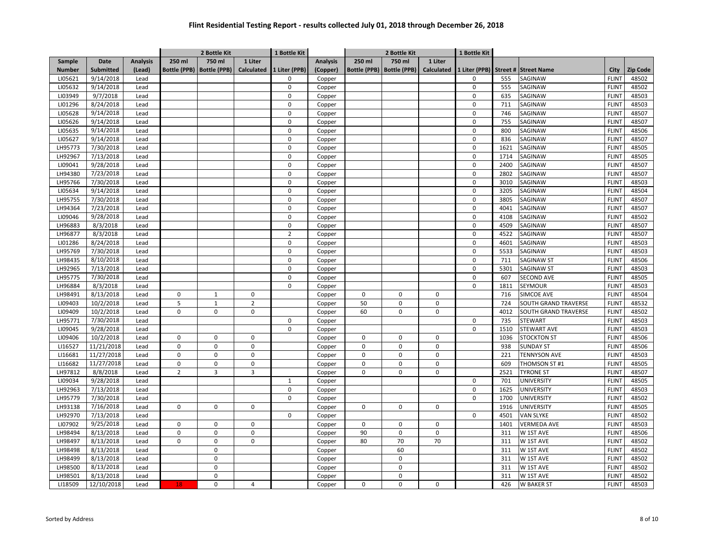|               |                  |                 |                     | 2 Bottle Kit        |                | 1 Bottle Kit   |                 | 2 Bottle Kit        |                     |            | 1 Bottle Kit  |      |                             |              |                 |
|---------------|------------------|-----------------|---------------------|---------------------|----------------|----------------|-----------------|---------------------|---------------------|------------|---------------|------|-----------------------------|--------------|-----------------|
| Sample        | Date             | <b>Analysis</b> | 250 ml              | 750 ml              | 1 Liter        |                | <b>Analysis</b> | 250 ml              | 750 ml              | 1 Liter    |               |      |                             |              |                 |
| <b>Number</b> | <b>Submitted</b> | (Lead)          | <b>Bottle (PPB)</b> | <b>Bottle (PPB)</b> | Calculated     | 1 Liter (PPB)  | (Copper)        | <b>Bottle (PPB)</b> | <b>Bottle (PPB)</b> | Calculated | 1 Liter (PPB) |      | Street # Street Name        | City         | <b>Zip Code</b> |
| LI05621       | 9/14/2018        | Lead            |                     |                     |                | $\Omega$       | Copper          |                     |                     |            | $\Omega$      | 555  | SAGINAW                     | <b>FLINT</b> | 48502           |
| LI05632       | 9/14/2018        | Lead            |                     |                     |                | $\mathbf 0$    | Copper          |                     |                     |            | $\pmb{0}$     | 555  | SAGINAW                     | <b>FLINT</b> | 48502           |
| LI03949       | 9/7/2018         | Lead            |                     |                     |                | $\mathbf 0$    | Copper          |                     |                     |            | $\mathbf 0$   | 635  | SAGINAW                     | <b>FLINT</b> | 48503           |
| LI01296       | 8/24/2018        | Lead            |                     |                     |                | $\mathbf 0$    | Copper          |                     |                     |            | $\pmb{0}$     | 711  | SAGINAW                     | <b>FLINT</b> | 48503           |
| LI05628       | 9/14/2018        | Lead            |                     |                     |                | $\mathbf 0$    | Copper          |                     |                     |            | $\pmb{0}$     | 746  | <b>SAGINAW</b>              | <b>FLINT</b> | 48507           |
| LI05626       | 9/14/2018        | Lead            |                     |                     |                | $\mathbf 0$    | Copper          |                     |                     |            | $\pmb{0}$     | 755  | SAGINAW                     | <b>FLINT</b> | 48507           |
| LI05635       | 9/14/2018        | Lead            |                     |                     |                | $\Omega$       | Copper          |                     |                     |            | $\mathbf 0$   | 800  | SAGINAW                     | <b>FLINT</b> | 48506           |
| LI05627       | 9/14/2018        | Lead            |                     |                     |                | $\Omega$       | Copper          |                     |                     |            | $\Omega$      | 836  | SAGINAW                     | <b>FLINT</b> | 48507           |
| LH95773       | 7/30/2018        | Lead            |                     |                     |                | $\mathbf 0$    | Copper          |                     |                     |            | $\mathbf 0$   | 1621 | SAGINAW                     | <b>FLINT</b> | 48505           |
| LH92967       | 7/13/2018        | Lead            |                     |                     |                | $\mathbf 0$    | Copper          |                     |                     |            | $\pmb{0}$     | 1714 | SAGINAW                     | <b>FLINT</b> | 48505           |
| LI09041       | 9/28/2018        | Lead            |                     |                     |                | $\mathbf 0$    | Copper          |                     |                     |            | $\mathbf 0$   | 2400 | SAGINAW                     | <b>FLINT</b> | 48507           |
| LH94380       | 7/23/2018        | Lead            |                     |                     |                | $\mathbf 0$    | Copper          |                     |                     |            | $\pmb{0}$     | 2802 | SAGINAW                     | <b>FLINT</b> | 48507           |
| LH95766       | 7/30/2018        | Lead            |                     |                     |                | $\mathbf 0$    | Copper          |                     |                     |            | $\pmb{0}$     | 3010 | <b>SAGINAW</b>              | <b>FLINT</b> | 48503           |
| LI05634       | 9/14/2018        | Lead            |                     |                     |                | $\mathbf 0$    | Copper          |                     |                     |            | $\pmb{0}$     | 3205 | SAGINAW                     | <b>FLINT</b> | 48504           |
| LH95755       | 7/30/2018        | Lead            |                     |                     |                | $\mathbf 0$    | Copper          |                     |                     |            | $\pmb{0}$     | 3805 | SAGINAW                     | <b>FLINT</b> | 48507           |
| LH94364       | 7/23/2018        | Lead            |                     |                     |                | $\mathbf 0$    | Copper          |                     |                     |            | $\mathbf 0$   | 4041 | SAGINAW                     | <b>FLINT</b> | 48507           |
| LI09046       | 9/28/2018        | Lead            |                     |                     |                | $\mathbf 0$    | Copper          |                     |                     |            | $\pmb{0}$     | 4108 | SAGINAW                     | <b>FLINT</b> | 48502           |
| LH96883       | 8/3/2018         | Lead            |                     |                     |                | $\pmb{0}$      | Copper          |                     |                     |            | $\pmb{0}$     | 4509 | SAGINAW                     | <b>FLINT</b> | 48507           |
| LH96877       | 8/3/2018         | Lead            |                     |                     |                | $\overline{2}$ | Copper          |                     |                     |            | $\pmb{0}$     | 4522 | SAGINAW                     | <b>FLINT</b> | 48507           |
| LI01286       | 8/24/2018        | Lead            |                     |                     |                | $\mathbf 0$    | Copper          |                     |                     |            | $\pmb{0}$     | 4601 | SAGINAW                     | <b>FLINT</b> | 48503           |
| LH95769       | 7/30/2018        | Lead            |                     |                     |                | $\Omega$       | Copper          |                     |                     |            | $\mathbf 0$   | 5533 | SAGINAW                     | <b>FLINT</b> | 48503           |
| LH98435       | 8/10/2018        | Lead            |                     |                     |                | $\Omega$       | Copper          |                     |                     |            | $\mathbf 0$   | 711  | <b>SAGINAW ST</b>           | <b>FLINT</b> | 48506           |
| LH92965       | 7/13/2018        | Lead            |                     |                     |                | $\Omega$       | Copper          |                     |                     |            | $\mathbf 0$   | 5301 | <b>SAGINAW ST</b>           | <b>FLINT</b> | 48503           |
| LH95775       | 7/30/2018        | Lead            |                     |                     |                | $\mathbf 0$    | Copper          |                     |                     |            | $\pmb{0}$     | 607  | <b>SECOND AVE</b>           | <b>FLINT</b> | 48505           |
| LH96884       | 8/3/2018         | Lead            |                     |                     |                | $\mathbf 0$    | Copper          |                     |                     |            | $\pmb{0}$     | 1811 | <b>SEYMOUR</b>              | <b>FLINT</b> | 48503           |
| LH98491       | 8/13/2018        | Lead            | $\mathbf 0$         | $\mathbf{1}$        | 0              |                | Copper          | $\mathsf 0$         | $\mathsf 0$         | 0          |               | 716  | SIMCOE AVE                  | <b>FLINT</b> | 48504           |
| LI09403       | 10/2/2018        | Lead            | 5                   | $\mathbf{1}$        | $\overline{2}$ |                | Copper          | 50                  | $\mathbf 0$         | 0          |               | 724  | <b>SOUTH GRAND TRAVERSE</b> | <b>FLINT</b> | 48532           |
| LI09409       | 10/2/2018        | Lead            | $\mathsf 0$         | $\mathsf 0$         | $\mathbf 0$    |                | Copper          | 60                  | 0                   | 0          |               | 4012 | SOUTH GRAND TRAVERSE        | <b>FLINT</b> | 48502           |
| LH95771       | 7/30/2018        | Lead            |                     |                     |                | $\Omega$       | Copper          |                     |                     |            | $\mathbf 0$   | 735  | <b>STEWART</b>              | <b>FLINT</b> | 48503           |
| LI09045       | 9/28/2018        | Lead            |                     |                     |                | $\mathbf 0$    | Copper          |                     |                     |            | $\pmb{0}$     | 1510 | <b>STEWART AVE</b>          | <b>FLINT</b> | 48503           |
| LI09406       | 10/2/2018        | Lead            | $\mathsf 0$         | $\mathsf 0$         | 0              |                | Copper          | $\mathbf 0$         | 0                   | 0          |               | 1036 | <b>STOCKTON ST</b>          | <b>FLINT</b> | 48506           |
| LI16527       | 11/21/2018       | Lead            | $\mathbf 0$         | $\mathsf 0$         | $\mathsf 0$    |                | Copper          | $\mathbf 0$         | $\mathbf 0$         | 0          |               | 938  | <b>SUNDAY ST</b>            | <b>FLINT</b> | 48506           |
| LI16681       | 11/27/2018       | Lead            | $\mathsf 0$         | $\mathsf 0$         | $\mathbf 0$    |                | Copper          | $\mathbf 0$         | $\mathbf 0$         | 0          |               | 221  | <b>TENNYSON AVE</b>         | <b>FLINT</b> | 48503           |
| LI16682       | 11/27/2018       | Lead            | $\pmb{0}$           | $\mathbf 0$         | 0              |                | Copper          | $\mathsf 0$         | 0                   | 0          |               | 609  | THOMSON ST #1               | <b>FLINT</b> | 48505           |
| LH97812       | 8/8/2018         | Lead            | $\overline{2}$      | $\overline{3}$      | 3              |                | Copper          | $\mathbf 0$         | 0                   | 0          |               | 2521 | <b>TYRONE ST</b>            | <b>FLINT</b> | 48507           |
| LI09034       | 9/28/2018        | Lead            |                     |                     |                | $\mathbf{1}$   | Copper          |                     |                     |            | $\mathbf 0$   | 701  | UNIVERSITY                  | <b>FLINT</b> | 48505           |
| LH92963       | 7/13/2018        | Lead            |                     |                     |                | $\mathbf 0$    | Copper          |                     |                     |            | $\mathbf 0$   | 1625 | <b>UNIVERSITY</b>           | <b>FLINT</b> | 48503           |
| LH95779       | 7/30/2018        | Lead            |                     |                     |                | $\mathbf 0$    | Copper          |                     |                     |            | $\mathbf 0$   | 1700 | <b>UNIVERSITY</b>           | <b>FLINT</b> | 48502           |
| LH93138       | 7/16/2018        | Lead            | $\mathbf 0$         | $\mathbf 0$         | $\mathbf 0$    |                | Copper          | $\mathbf 0$         | $\mathbf 0$         | 0          |               | 1916 | <b>UNIVERSITY</b>           | <b>FLINT</b> | 48505           |
| LH92970       | 7/13/2018        | Lead            |                     |                     |                | $\mathbf 0$    | Copper          |                     |                     |            | $\pmb{0}$     | 4501 | <b>VAN SLYKE</b>            | <b>FLINT</b> | 48502           |
| LI07902       | 9/25/2018        | Lead            | $\mathsf 0$         | $\mathsf 0$         | $\mathbf 0$    |                | Copper          | $\mathbf 0$         | $\mathbf 0$         | 0          |               | 1401 | <b>VERMEDA AVE</b>          | <b>FLINT</b> | 48503           |
| LH98494       | 8/13/2018        | Lead            | $\pmb{0}$           | $\mathbf 0$         | 0              |                | Copper          | 90                  | $\pmb{0}$           | 0          |               | 311  | W 1ST AVE                   | <b>FLINT</b> | 48506           |
| LH98497       | 8/13/2018        | Lead            | $\mathsf 0$         | $\mathbf 0$         | $\mathbf 0$    |                | Copper          | 80                  | 70                  | 70         |               | 311  | W 1ST AVE                   | <b>FLINT</b> | 48502           |
| LH98498       | 8/13/2018        | Lead            |                     | $\mathbf 0$         |                |                | Copper          |                     | 60                  |            |               | 311  | W 1ST AVE                   | <b>FLINT</b> | 48502           |
| LH98499       | 8/13/2018        | Lead            |                     | $\mathbf 0$         |                |                | Copper          |                     | $\mathbf 0$         |            |               | 311  | W 1ST AVE                   | <b>FLINT</b> | 48502           |
| LH98500       | 8/13/2018        | Lead            |                     | $\mathsf 0$         |                |                | Copper          |                     | $\mathbf 0$         |            |               | 311  | W 1ST AVE                   | <b>FLINT</b> | 48502           |
| LH98501       | 8/13/2018        | Lead            |                     | $\mathbf 0$         |                |                | Copper          |                     | 0                   |            |               | 311  | W 1ST AVE                   | <b>FLINT</b> | 48502           |
| LI18509       | 12/10/2018       | Lead            | 18                  | $\mathsf 0$         | 4              |                | Copper          | $\mathsf 0$         | 0                   | 0          |               | 426  | <b>W BAKER ST</b>           | <b>FLINT</b> | 48503           |
|               |                  |                 |                     |                     |                |                |                 |                     |                     |            |               |      |                             |              |                 |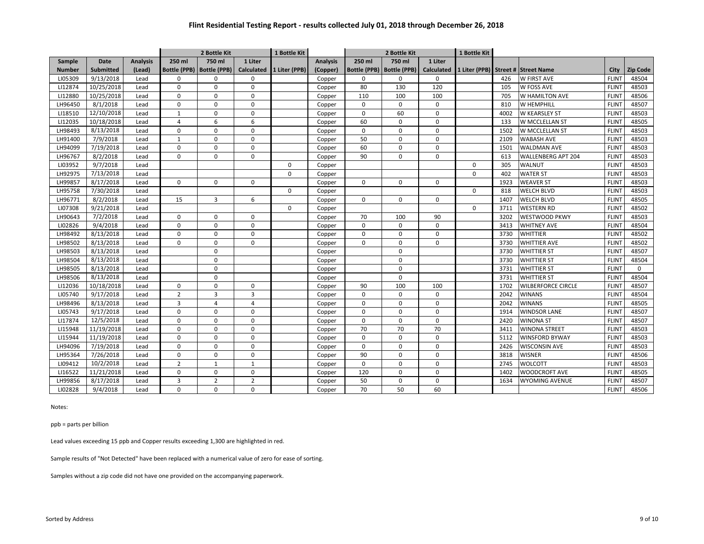|               |             |                 |                | 2 Bottle Kit                |                | 1 Bottle Kit  |                 | 2 Bottle Kit        |                     |                   | 1 Bottle Kit           |      |                           |              |                 |
|---------------|-------------|-----------------|----------------|-----------------------------|----------------|---------------|-----------------|---------------------|---------------------|-------------------|------------------------|------|---------------------------|--------------|-----------------|
| Sample        | <b>Date</b> | <b>Analysis</b> | 250 ml         | 750 ml                      | 1 Liter        |               | <b>Analysis</b> | 250 ml              | 750 ml              | 1 Liter           |                        |      |                           |              |                 |
| <b>Number</b> | Submitted   | (Lead)          |                | Bottle (PPB)   Bottle (PPB) | Calculated     | 1 Liter (PPB) | (Copper)        | <b>Bottle (PPB)</b> | <b>Bottle (PPB)</b> | <b>Calculated</b> | 1 Liter (PPB) Street # |      | <b>Street Name</b>        | City         | <b>Zip Code</b> |
| LI05309       | 9/13/2018   | Lead            | $\mathbf 0$    | $\mathbf 0$                 | $\mathbf 0$    |               | Copper          | 0                   | $\mathbf 0$         | 0                 |                        | 426  | W FIRST AVE               | <b>FLINT</b> | 48504           |
| LI12874       | 10/25/2018  | Lead            | $\mathbf 0$    | $\mathbf 0$                 | $\mathbf 0$    |               | Copper          | 80                  | 130                 | 120               |                        | 105  | W FOSS AVE                | <b>FLINT</b> | 48503           |
| LI12880       | 10/25/2018  | Lead            | $\pmb{0}$      | $\mathbf 0$                 | $\mathsf 0$    |               | Copper          | 110                 | 100                 | 100               |                        | 705  | W HAMILTON AVE            | <b>FLINT</b> | 48506           |
| LH96450       | 8/1/2018    | Lead            | $\mathbf 0$    | $\mathbf 0$                 | $\mathbf 0$    |               | Copper          | $\Omega$            | $\mathbf 0$         | 0                 |                        | 810  | W HEMPHILL                | <b>FLINT</b> | 48507           |
| LI18510       | 12/10/2018  | Lead            | $\mathbf{1}$   | $\Omega$                    | $\mathbf 0$    |               | Copper          | 0                   | 60                  | 0                 |                        | 4002 | <b>W KEARSLEY ST</b>      | <b>FLINT</b> | 48503           |
| LI12035       | 10/18/2018  | Lead            | $\overline{4}$ | $6\phantom{1}6$             | 6              |               | Copper          | 60                  | $\Omega$            | $\Omega$          |                        | 133  | W MCCLELLAN ST            | <b>FLINT</b> | 48505           |
| LH98493       | 8/13/2018   | Lead            | $\Omega$       | $\Omega$                    | $\Omega$       |               | Copper          | $\Omega$            | $\Omega$            | $\Omega$          |                        | 1502 | W MCCLELLAN ST            | <b>FLINT</b> | 48503           |
| LH91400       | 7/9/2018    | Lead            | $\mathbf{1}$   | $\Omega$                    | $\mathbf 0$    |               | Copper          | 50                  | $\Omega$            | 0                 |                        | 2109 | <b>WABASH AVE</b>         | <b>FLINT</b> | 48503           |
| LH94099       | 7/19/2018   | Lead            | $\Omega$       | $\Omega$                    | $\Omega$       |               | Copper          | 60                  | $\Omega$            | 0                 |                        | 1501 | <b>WALDMAN AVE</b>        | <b>FLINT</b> | 48503           |
| LH96767       | 8/2/2018    | Lead            | $\mathbf 0$    | $\mathbf 0$                 | $\mathbf 0$    |               | Copper          | 90                  | $\Omega$            | 0                 |                        | 613  | <b>WALLENBERG APT 204</b> | <b>FLINT</b> | 48503           |
| LI03952       | 9/7/2018    | Lead            |                |                             |                | $\Omega$      | Copper          |                     |                     |                   | $\Omega$               | 305  | WALNUT                    | <b>FLINT</b> | 48503           |
| LH92975       | 7/13/2018   | Lead            |                |                             |                | $\Omega$      | Copper          |                     |                     |                   | $\Omega$               | 402  | <b>WATER ST</b>           | <b>FLINT</b> | 48503           |
| LH99857       | 8/17/2018   | Lead            | $\Omega$       | $\Omega$                    | $\Omega$       |               | Copper          | $\Omega$            | $\Omega$            | $\Omega$          |                        | 1923 | <b>WEAVER ST</b>          | <b>FLINT</b> | 48503           |
| LH95758       | 7/30/2018   | Lead            |                |                             |                | $\Omega$      | Copper          |                     |                     |                   | $\Omega$               | 818  | <b>WELCH BLVD</b>         | <b>FLINT</b> | 48503           |
| LH96771       | 8/2/2018    | Lead            | 15             | $\overline{3}$              | 6              |               | Copper          | $\Omega$            | $\Omega$            | $\Omega$          |                        | 1407 | <b>WELCH BLVD</b>         | <b>FLINT</b> | 48505           |
| LI07308       | 9/21/2018   | Lead            |                |                             |                | $\Omega$      | Copper          |                     |                     |                   | $\Omega$               | 3711 | <b>WESTERN RD</b>         | <b>FLINT</b> | 48502           |
| LH90643       | 7/2/2018    | Lead            | $\mathbf 0$    | $\Omega$                    | $\Omega$       |               | Copper          | 70                  | 100                 | 90                |                        | 3202 | <b>WESTWOOD PKWY</b>      | <b>FLINT</b> | 48503           |
| LI02826       | 9/4/2018    | Lead            | $\mathbf 0$    | $\mathbf 0$                 | $\mathbf 0$    |               | Copper          | $\Omega$            | $\mathbf 0$         | 0                 |                        | 3413 | <b>WHITNEY AVE</b>        | <b>FLINT</b> | 48504           |
| LH98492       | 8/13/2018   | Lead            | $\Omega$       | $\mathbf 0$                 | $\mathbf 0$    |               | Copper          | $\Omega$            | $\Omega$            | 0                 |                        | 3730 | WHITTIER                  | <b>FLINT</b> | 48502           |
| LH98502       | 8/13/2018   | Lead            | $\mathbf 0$    | $\mathbf 0$                 | $\mathbf 0$    |               | Copper          | 0                   | $\mathbf 0$         | 0                 |                        | 3730 | WHITTIER AVE              | <b>FLINT</b> | 48502           |
| LH98503       | 8/13/2018   | Lead            |                | $\mathbf 0$                 |                |               | Copper          |                     | $\mathbf 0$         |                   |                        | 3730 | <b>WHITTIER ST</b>        | <b>FLINT</b> | 48507           |
| LH98504       | 8/13/2018   | Lead            |                | $\mathbf 0$                 |                |               | Copper          |                     | $\mathbf 0$         |                   |                        | 3730 | <b>WHITTIER ST</b>        | <b>FLINT</b> | 48504           |
| LH98505       | 8/13/2018   | Lead            |                | $\mathbf 0$                 |                |               | Copper          |                     | $\mathbf 0$         |                   |                        | 3731 | WHITTIER ST               | <b>FLINT</b> | $\mathbf 0$     |
| LH98506       | 8/13/2018   | Lead            |                | $\mathbf 0$                 |                |               | Copper          |                     | $\mathbf 0$         |                   |                        | 3731 | WHITTIER ST               | <b>FLINT</b> | 48504           |
| LI12036       | 10/18/2018  | Lead            | $\mathbf 0$    | $\mathbf 0$                 | $\mathbf 0$    |               | Copper          | 90                  | 100                 | 100               |                        | 1702 | <b>WILBERFORCE CIRCLE</b> | <b>FLINT</b> | 48507           |
| LI05740       | 9/17/2018   | Lead            | $\overline{2}$ | 3                           | 3              |               | Copper          | 0                   | $\mathbf 0$         | 0                 |                        | 2042 | <b>WINANS</b>             | <b>FLINT</b> | 48504           |
| LH98496       | 8/13/2018   | Lead            | $\overline{3}$ | $\overline{4}$              | $\overline{4}$ |               | Copper          | 0                   | $\mathbf 0$         | 0                 |                        | 2042 | <b>WINANS</b>             | <b>FLINT</b> | 48505           |
| LI05743       | 9/17/2018   | Lead            | $\mathbf 0$    | $\mathbf 0$                 | $\mathbf 0$    |               | Copper          | 0                   | $\mathbf 0$         | 0                 |                        | 1914 | <b>WINDSOR LANE</b>       | <b>FLINT</b> | 48507           |
| LI17874       | 12/5/2018   | Lead            | $\mathbf 0$    | $\mathbf 0$                 | $\mathbf 0$    |               | Copper          | 0                   | $\mathbf 0$         | 0                 |                        | 2420 | <b>WINONA ST</b>          | <b>FLINT</b> | 48507           |
| LI15948       | 11/19/2018  | Lead            | $\mathbf 0$    | $\mathbf 0$                 | $\mathbf 0$    |               | Copper          | 70                  | 70                  | 70                |                        | 3411 | <b>WINONA STREET</b>      | <b>FLINT</b> | 48503           |
| LI15944       | 11/19/2018  | Lead            | $\mathbf 0$    | $\mathbf 0$                 | $\mathbf 0$    |               | Copper          | 0                   | $\mathbf 0$         | 0                 |                        | 5112 | WINSFORD BYWAY            | <b>FLINT</b> | 48503           |
| LH94096       | 7/19/2018   | Lead            | $\mathbf 0$    | $\mathbf 0$                 | $\mathbf 0$    |               | Copper          | 0                   | $\mathbf 0$         | 0                 |                        | 2426 | <b>WISCONSIN AVE</b>      | <b>FLINT</b> | 48503           |
| LH95364       | 7/26/2018   | Lead            | $\mathbf 0$    | $\mathbf 0$                 | $\mathbf 0$    |               | Copper          | 90                  | $\mathbf 0$         | 0                 |                        | 3818 | <b>WISNER</b>             | <b>FLINT</b> | 48506           |
| LI09412       | 10/2/2018   | Lead            | $\overline{2}$ | 1                           | $\mathbf{1}$   |               | Copper          | 0                   | $\mathbf 0$         | 0                 |                        | 2745 | WOLCOTT                   | <b>FLINT</b> | 48503           |
| LI16522       | 11/21/2018  | Lead            | $\mathbf 0$    | $\mathbf 0$                 | $\mathbf 0$    |               | Copper          | 120                 | $\mathbf 0$         | 0                 |                        | 1402 | <b>WOODCROFT AVE</b>      | <b>FLINT</b> | 48505           |
| LH99856       | 8/17/2018   | Lead            | 3              | $\overline{2}$              | $\overline{2}$ |               | Copper          | 50                  | $\mathbf 0$         | 0                 |                        | 1634 | WYOMING AVENUE            | <b>FLINT</b> | 48507           |
| LI02828       | 9/4/2018    | Lead            | $\mathbf 0$    | $\Omega$                    | $\mathbf 0$    |               | Copper          | 70                  | 50                  | 60                |                        |      |                           | <b>FLINT</b> | 48506           |

Notes:

ppb = parts per billion

Lead values exceeding 15 ppb and Copper results exceeding 1,300 are highlighted in red.

Sample results of "Not Detected" have been replaced with a numerical value of zero for ease of sorting.

Samples without a zip code did not have one provided on the accompanying paperwork.